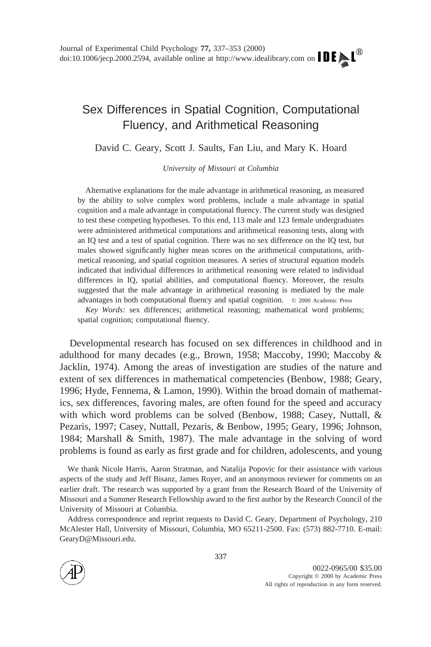# Sex Differences in Spatial Cognition, Computational Fluency, and Arithmetical Reasoning

David C. Geary, Scott J. Saults, Fan Liu, and Mary K. Hoard

*University of Missouri at Columbia*

Alternative explanations for the male advantage in arithmetical reasoning, as measured by the ability to solve complex word problems, include a male advantage in spatial cognition and a male advantage in computational fluency. The current study was designed to test these competing hypotheses. To this end, 113 male and 123 female undergraduates were administered arithmetical computations and arithmetical reasoning tests, along with an IQ test and a test of spatial cognition. There was no sex difference on the IQ test, but males showed significantly higher mean scores on the arithmetical computations, arithmetical reasoning, and spatial cognition measures. A series of structural equation models indicated that individual differences in arithmetical reasoning were related to individual differences in IQ, spatial abilities, and computational fluency. Moreover, the results suggested that the male advantage in arithmetical reasoning is mediated by the male advantages in both computational fluency and spatial cognition. © 2000 Academic Press

*Key Words:* sex differences; arithmetical reasoning; mathematical word problems; spatial cognition; computational fluency.

Developmental research has focused on sex differences in childhood and in adulthood for many decades (e.g., Brown, 1958; Maccoby, 1990; Maccoby & Jacklin, 1974). Among the areas of investigation are studies of the nature and extent of sex differences in mathematical competencies (Benbow, 1988; Geary, 1996; Hyde, Fennema, & Lamon, 1990). Within the broad domain of mathematics, sex differences, favoring males, are often found for the speed and accuracy with which word problems can be solved (Benbow, 1988; Casey, Nuttall, & Pezaris, 1997; Casey, Nuttall, Pezaris, & Benbow, 1995; Geary, 1996; Johnson, 1984; Marshall & Smith, 1987). The male advantage in the solving of word problems is found as early as first grade and for children, adolescents, and young

We thank Nicole Harris, Aaron Stratman, and Natalija Popovic for their assistance with various aspects of the study and Jeff Bisanz, James Royer, and an anonymous reviewer for comments on an earlier draft. The research was supported by a grant from the Research Board of the University of Missouri and a Summer Research Fellowship award to the first author by the Research Council of the University of Missouri at Columbia.

Address correspondence and reprint requests to David C. Geary, Department of Psychology, 210 McAlester Hall, University of Missouri, Columbia, MO 65211-2500. Fax: (573) 882-7710. E-mail: GearyD@Missouri.edu.

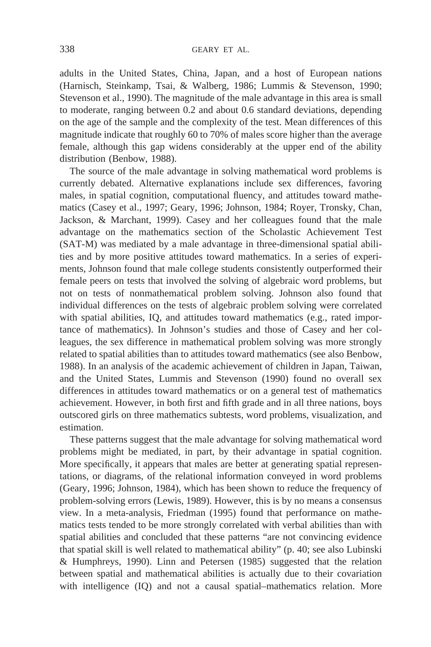adults in the United States, China, Japan, and a host of European nations (Harnisch, Steinkamp, Tsai, & Walberg, 1986; Lummis & Stevenson, 1990; Stevenson et al., 1990). The magnitude of the male advantage in this area is small to moderate, ranging between 0.2 and about 0.6 standard deviations, depending on the age of the sample and the complexity of the test. Mean differences of this magnitude indicate that roughly 60 to 70% of males score higher than the average female, although this gap widens considerably at the upper end of the ability distribution (Benbow, 1988).

The source of the male advantage in solving mathematical word problems is currently debated. Alternative explanations include sex differences, favoring males, in spatial cognition, computational fluency, and attitudes toward mathematics (Casey et al., 1997; Geary, 1996; Johnson, 1984; Royer, Tronsky, Chan, Jackson, & Marchant, 1999). Casey and her colleagues found that the male advantage on the mathematics section of the Scholastic Achievement Test (SAT-M) was mediated by a male advantage in three-dimensional spatial abilities and by more positive attitudes toward mathematics. In a series of experiments, Johnson found that male college students consistently outperformed their female peers on tests that involved the solving of algebraic word problems, but not on tests of nonmathematical problem solving. Johnson also found that individual differences on the tests of algebraic problem solving were correlated with spatial abilities, IQ, and attitudes toward mathematics (e.g., rated importance of mathematics). In Johnson's studies and those of Casey and her colleagues, the sex difference in mathematical problem solving was more strongly related to spatial abilities than to attitudes toward mathematics (see also Benbow, 1988). In an analysis of the academic achievement of children in Japan, Taiwan, and the United States, Lummis and Stevenson (1990) found no overall sex differences in attitudes toward mathematics or on a general test of mathematics achievement. However, in both first and fifth grade and in all three nations, boys outscored girls on three mathematics subtests, word problems, visualization, and estimation.

These patterns suggest that the male advantage for solving mathematical word problems might be mediated, in part, by their advantage in spatial cognition. More specifically, it appears that males are better at generating spatial representations, or diagrams, of the relational information conveyed in word problems (Geary, 1996; Johnson, 1984), which has been shown to reduce the frequency of problem-solving errors (Lewis, 1989). However, this is by no means a consensus view. In a meta-analysis, Friedman (1995) found that performance on mathematics tests tended to be more strongly correlated with verbal abilities than with spatial abilities and concluded that these patterns "are not convincing evidence that spatial skill is well related to mathematical ability" (p. 40; see also Lubinski & Humphreys, 1990). Linn and Petersen (1985) suggested that the relation between spatial and mathematical abilities is actually due to their covariation with intelligence (IQ) and not a causal spatial–mathematics relation. More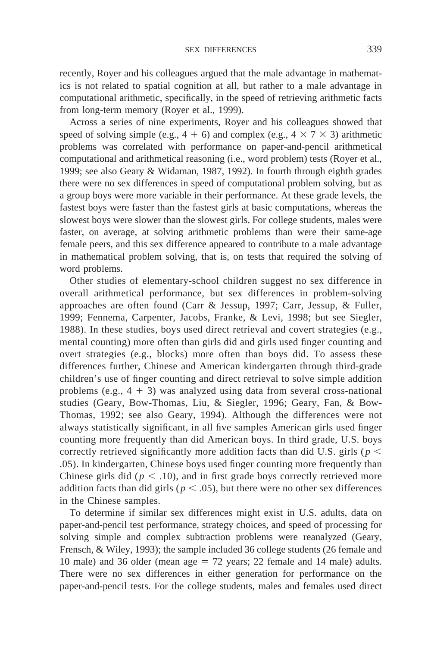recently, Royer and his colleagues argued that the male advantage in mathematics is not related to spatial cognition at all, but rather to a male advantage in computational arithmetic, specifically, in the speed of retrieving arithmetic facts from long-term memory (Royer et al., 1999).

Across a series of nine experiments, Royer and his colleagues showed that speed of solving simple (e.g.,  $4 + 6$ ) and complex (e.g.,  $4 \times 7 \times 3$ ) arithmetic problems was correlated with performance on paper-and-pencil arithmetical computational and arithmetical reasoning (i.e., word problem) tests (Royer et al., 1999; see also Geary & Widaman, 1987, 1992). In fourth through eighth grades there were no sex differences in speed of computational problem solving, but as a group boys were more variable in their performance. At these grade levels, the fastest boys were faster than the fastest girls at basic computations, whereas the slowest boys were slower than the slowest girls. For college students, males were faster, on average, at solving arithmetic problems than were their same-age female peers, and this sex difference appeared to contribute to a male advantage in mathematical problem solving, that is, on tests that required the solving of word problems.

Other studies of elementary-school children suggest no sex difference in overall arithmetical performance, but sex differences in problem-solving approaches are often found (Carr & Jessup, 1997; Carr, Jessup, & Fuller, 1999; Fennema, Carpenter, Jacobs, Franke, & Levi, 1998; but see Siegler, 1988). In these studies, boys used direct retrieval and covert strategies (e.g., mental counting) more often than girls did and girls used finger counting and overt strategies (e.g., blocks) more often than boys did. To assess these differences further, Chinese and American kindergarten through third-grade children's use of finger counting and direct retrieval to solve simple addition problems (e.g.,  $4 + 3$ ) was analyzed using data from several cross-national studies (Geary, Bow-Thomas, Liu, & Siegler, 1996; Geary, Fan, & Bow-Thomas, 1992; see also Geary, 1994). Although the differences were not always statistically significant, in all five samples American girls used finger counting more frequently than did American boys. In third grade, U.S. boys correctly retrieved significantly more addition facts than did U.S. girls ( $p$  < .05). In kindergarten, Chinese boys used finger counting more frequently than Chinese girls did ( $p < .10$ ), and in first grade boys correctly retrieved more addition facts than did girls ( $p < .05$ ), but there were no other sex differences in the Chinese samples.

To determine if similar sex differences might exist in U.S. adults, data on paper-and-pencil test performance, strategy choices, and speed of processing for solving simple and complex subtraction problems were reanalyzed (Geary, Frensch, & Wiley, 1993); the sample included 36 college students (26 female and 10 male) and 36 older (mean age  $= 72$  years; 22 female and 14 male) adults. There were no sex differences in either generation for performance on the paper-and-pencil tests. For the college students, males and females used direct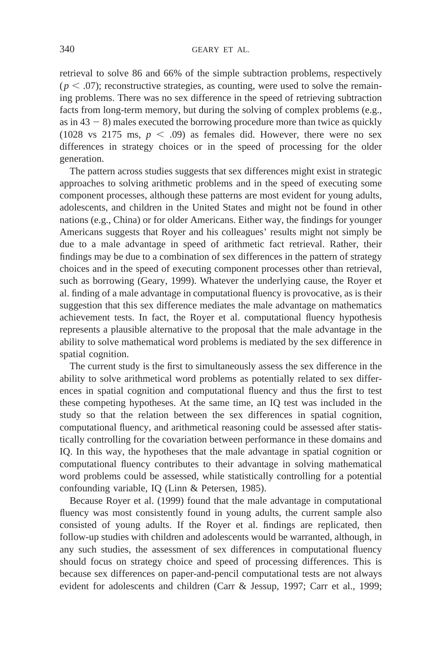retrieval to solve 86 and 66% of the simple subtraction problems, respectively  $(p < .07)$ ; reconstructive strategies, as counting, were used to solve the remaining problems. There was no sex difference in the speed of retrieving subtraction facts from long-term memory, but during the solving of complex problems (e.g., as in  $43 - 8$ ) males executed the borrowing procedure more than twice as quickly (1028 vs 2175 ms,  $p < .09$ ) as females did. However, there were no sex differences in strategy choices or in the speed of processing for the older generation.

The pattern across studies suggests that sex differences might exist in strategic approaches to solving arithmetic problems and in the speed of executing some component processes, although these patterns are most evident for young adults, adolescents, and children in the United States and might not be found in other nations (e.g., China) or for older Americans. Either way, the findings for younger Americans suggests that Royer and his colleagues' results might not simply be due to a male advantage in speed of arithmetic fact retrieval. Rather, their findings may be due to a combination of sex differences in the pattern of strategy choices and in the speed of executing component processes other than retrieval, such as borrowing (Geary, 1999). Whatever the underlying cause, the Royer et al. finding of a male advantage in computational fluency is provocative, as is their suggestion that this sex difference mediates the male advantage on mathematics achievement tests. In fact, the Royer et al. computational fluency hypothesis represents a plausible alternative to the proposal that the male advantage in the ability to solve mathematical word problems is mediated by the sex difference in spatial cognition.

The current study is the first to simultaneously assess the sex difference in the ability to solve arithmetical word problems as potentially related to sex differences in spatial cognition and computational fluency and thus the first to test these competing hypotheses. At the same time, an IQ test was included in the study so that the relation between the sex differences in spatial cognition, computational fluency, and arithmetical reasoning could be assessed after statistically controlling for the covariation between performance in these domains and IQ. In this way, the hypotheses that the male advantage in spatial cognition or computational fluency contributes to their advantage in solving mathematical word problems could be assessed, while statistically controlling for a potential confounding variable, IQ (Linn & Petersen, 1985).

Because Royer et al. (1999) found that the male advantage in computational fluency was most consistently found in young adults, the current sample also consisted of young adults. If the Royer et al. findings are replicated, then follow-up studies with children and adolescents would be warranted, although, in any such studies, the assessment of sex differences in computational fluency should focus on strategy choice and speed of processing differences. This is because sex differences on paper-and-pencil computational tests are not always evident for adolescents and children (Carr & Jessup, 1997; Carr et al., 1999;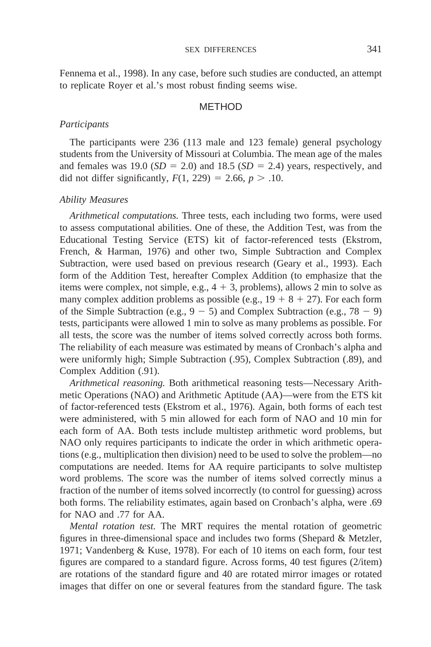Fennema et al., 1998). In any case, before such studies are conducted, an attempt to replicate Royer et al.'s most robust finding seems wise.

# **METHOD**

## *Participants*

The participants were 236 (113 male and 123 female) general psychology students from the University of Missouri at Columbia. The mean age of the males and females was 19.0 ( $SD = 2.0$ ) and 18.5 ( $SD = 2.4$ ) years, respectively, and did not differ significantly,  $F(1, 229) = 2.66, p > .10$ .

#### *Ability Measures*

*Arithmetical computations.* Three tests, each including two forms, were used to assess computational abilities. One of these, the Addition Test, was from the Educational Testing Service (ETS) kit of factor-referenced tests (Ekstrom, French, & Harman, 1976) and other two, Simple Subtraction and Complex Subtraction, were used based on previous research (Geary et al., 1993). Each form of the Addition Test, hereafter Complex Addition (to emphasize that the items were complex, not simple, e.g.,  $4 + \overline{3}$ , problems), allows 2 min to solve as many complex addition problems as possible (e.g.,  $19 + 8 + 27$ ). For each form of the Simple Subtraction (e.g.,  $9 - 5$ ) and Complex Subtraction (e.g.,  $78 - 9$ ) tests, participants were allowed 1 min to solve as many problems as possible. For all tests, the score was the number of items solved correctly across both forms. The reliability of each measure was estimated by means of Cronbach's alpha and were uniformly high; Simple Subtraction (.95), Complex Subtraction (.89), and Complex Addition (.91).

*Arithmetical reasoning.* Both arithmetical reasoning tests—Necessary Arithmetic Operations (NAO) and Arithmetic Aptitude (AA)—were from the ETS kit of factor-referenced tests (Ekstrom et al., 1976). Again, both forms of each test were administered, with 5 min allowed for each form of NAO and 10 min for each form of AA. Both tests include multistep arithmetic word problems, but NAO only requires participants to indicate the order in which arithmetic operations (e.g., multiplication then division) need to be used to solve the problem—no computations are needed. Items for AA require participants to solve multistep word problems. The score was the number of items solved correctly minus a fraction of the number of items solved incorrectly (to control for guessing) across both forms. The reliability estimates, again based on Cronbach's alpha, were .69 for NAO and .77 for AA.

*Mental rotation test.* The MRT requires the mental rotation of geometric figures in three-dimensional space and includes two forms (Shepard & Metzler, 1971; Vandenberg & Kuse, 1978). For each of 10 items on each form, four test figures are compared to a standard figure. Across forms, 40 test figures (2/item) are rotations of the standard figure and 40 are rotated mirror images or rotated images that differ on one or several features from the standard figure. The task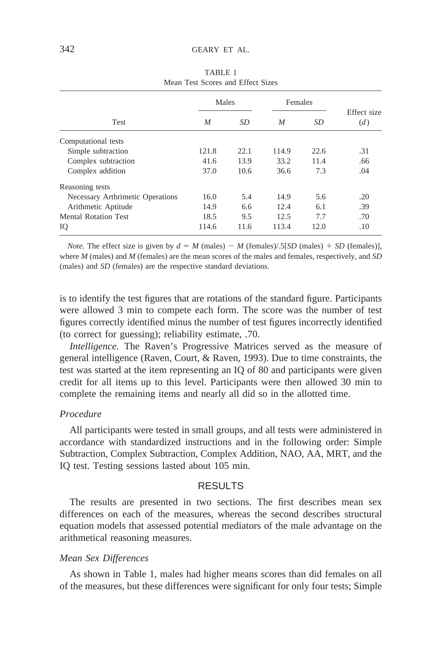#### 342 GEARY ET AL.

|                                  | Males |      | Females          |           |                    |
|----------------------------------|-------|------|------------------|-----------|--------------------|
| <b>Test</b>                      | M     | SD   | $\boldsymbol{M}$ | <i>SD</i> | Effect size<br>(d) |
| Computational tests              |       |      |                  |           |                    |
| Simple subtraction               | 121.8 | 22.1 | 114.9            | 22.6      | .31                |
| Complex subtraction              | 41.6  | 13.9 | 33.2             | 11.4      | .66                |
| Complex addition                 | 37.0  | 10.6 | 36.6             | 7.3       | .04                |
| Reasoning tests                  |       |      |                  |           |                    |
| Necessary Arthrimetic Operations | 16.0  | 5.4  | 14.9             | 5.6       | .20                |
| Arithmetic Aptitude              | 14.9  | 6.6  | 12.4             | 6.1       | .39                |
| <b>Mental Rotation Test</b>      | 18.5  | 9.5  | 12.5             | 7.7       | .70                |
| IQ                               | 114.6 | 11.6 | 113.4            | 12.0      | .10                |

TABLE 1 Mean Test Scores and Effect Sizes

*Note.* The effect size is given by  $d = M$  (males)  $-M$  (females)/.5[*SD* (males) + *SD* (females)], where *M* (males) and *M* (females) are the mean scores of the males and females, respectively, and *SD* (males) and *SD* (females) are the respective standard deviations.

is to identify the test figures that are rotations of the standard figure. Participants were allowed 3 min to compete each form. The score was the number of test figures correctly identified minus the number of test figures incorrectly identified (to correct for guessing); reliability estimate, .70.

*Intelligence.* The Raven's Progressive Matrices served as the measure of general intelligence (Raven, Court, & Raven, 1993). Due to time constraints, the test was started at the item representing an IQ of 80 and participants were given credit for all items up to this level. Participants were then allowed 30 min to complete the remaining items and nearly all did so in the allotted time.

### *Procedure*

All participants were tested in small groups, and all tests were administered in accordance with standardized instructions and in the following order: Simple Subtraction, Complex Subtraction, Complex Addition, NAO, AA, MRT, and the IQ test. Testing sessions lasted about 105 min.

# RESULTS

The results are presented in two sections. The first describes mean sex differences on each of the measures, whereas the second describes structural equation models that assessed potential mediators of the male advantage on the arithmetical reasoning measures.

### *Mean Sex Differences*

As shown in Table 1, males had higher means scores than did females on all of the measures, but these differences were significant for only four tests; Simple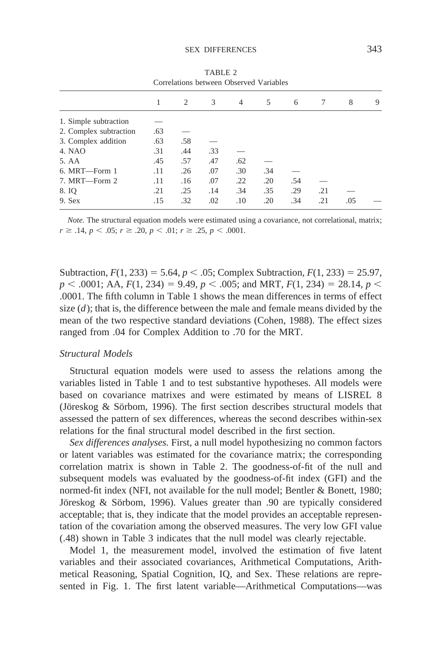#### SEX DIFFERENCES 343

| 3<br>2<br>$\overline{4}$<br>5<br>8<br>6<br>.63<br>.63<br>.58<br>.44<br>.31<br>.33<br>.57<br>.47<br>.62<br>.45<br>.30<br>.34<br>.26<br>.07<br>.11<br>.22<br>.20<br>.07<br>.16<br>.11<br>.54<br>.34<br>.35<br>.25<br>.29<br>.21<br>.14<br>.21<br>.32<br>.02<br>.20<br>.10<br>.34<br>.21<br>.05<br>.15 |  |  |  |  |   |
|-----------------------------------------------------------------------------------------------------------------------------------------------------------------------------------------------------------------------------------------------------------------------------------------------------|--|--|--|--|---|
| 1. Simple subtraction<br>2. Complex subtraction<br>3. Complex addition<br>4. NAO<br>5. AA<br>6. MRT-Form 1<br>7. MRT-Form 2<br>8. IQ<br>9. Sex                                                                                                                                                      |  |  |  |  | 9 |
|                                                                                                                                                                                                                                                                                                     |  |  |  |  |   |
|                                                                                                                                                                                                                                                                                                     |  |  |  |  |   |
|                                                                                                                                                                                                                                                                                                     |  |  |  |  |   |
|                                                                                                                                                                                                                                                                                                     |  |  |  |  |   |
|                                                                                                                                                                                                                                                                                                     |  |  |  |  |   |
|                                                                                                                                                                                                                                                                                                     |  |  |  |  |   |
|                                                                                                                                                                                                                                                                                                     |  |  |  |  |   |
|                                                                                                                                                                                                                                                                                                     |  |  |  |  |   |
|                                                                                                                                                                                                                                                                                                     |  |  |  |  |   |

TABLE 2 Correlations between Observed Variables

*Note*. The structural equation models were estimated using a covariance, not correlational, matrix;  $r \geq .14$ ,  $p < .05$ ;  $r \geq .20$ ,  $p < .01$ ;  $r \geq .25$ ,  $p < .0001$ .

Subtraction,  $F(1, 233) = 5.64$ ,  $p < .05$ ; Complex Subtraction,  $F(1, 233) = 25.97$ ,  $p < .0001$ ; AA,  $F(1, 234) = 9.49$ ,  $p < .005$ ; and MRT,  $F(1, 234) = 28.14$ ,  $p <$ .0001. The fifth column in Table 1 shows the mean differences in terms of effect size (*d*); that is, the difference between the male and female means divided by the mean of the two respective standard deviations (Cohen, 1988). The effect sizes ranged from .04 for Complex Addition to .70 for the MRT.

#### *Structural Models*

Structural equation models were used to assess the relations among the variables listed in Table 1 and to test substantive hypotheses. All models were based on covariance matrixes and were estimated by means of LISREL 8 (Jöreskog  $&$  Sörbom, 1996). The first section describes structural models that assessed the pattern of sex differences, whereas the second describes within-sex relations for the final structural model described in the first section.

*Sex differences analyses.* First, a null model hypothesizing no common factors or latent variables was estimated for the covariance matrix; the corresponding correlation matrix is shown in Table 2. The goodness-of-fit of the null and subsequent models was evaluated by the goodness-of-fit index (GFI) and the normed-fit index (NFI, not available for the null model; Bentler & Bonett, 1980; Jöreskog & Sörbom, 1996). Values greater than .90 are typically considered acceptable; that is, they indicate that the model provides an acceptable representation of the covariation among the observed measures. The very low GFI value (.48) shown in Table 3 indicates that the null model was clearly rejectable.

Model 1, the measurement model, involved the estimation of five latent variables and their associated covariances, Arithmetical Computations, Arithmetical Reasoning, Spatial Cognition, IQ, and Sex. These relations are represented in Fig. 1. The first latent variable—Arithmetical Computations—was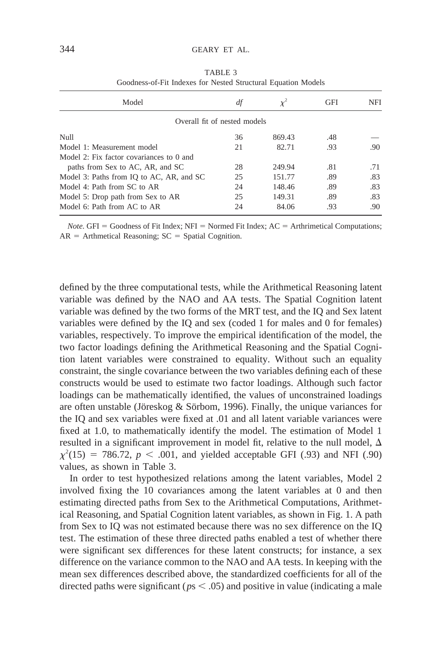| Model                                    | df |        | <b>GFI</b> | NFI |
|------------------------------------------|----|--------|------------|-----|
| Overall fit of nested models             |    |        |            |     |
| <b>Null</b>                              | 36 | 869.43 | .48        |     |
| Model 1: Measurement model               | 21 | 82.71  | .93        | .90 |
| Model 2: Fix factor covariances to 0 and |    |        |            |     |
| paths from Sex to AC, AR, and SC         | 28 | 249.94 | .81        | .71 |
| Model 3: Paths from IQ to AC, AR, and SC | 25 | 151.77 | .89        | .83 |
| Model 4: Path from SC to AR              | 24 | 148.46 | .89        | .83 |
| Model 5: Drop path from Sex to AR        | 25 | 149.31 | .89        | .83 |
| Model 6: Path from AC to AR              | 24 | 84.06  | .93        | .90 |
|                                          |    |        |            |     |

TABLE 3 Goodness-of-Fit Indexes for Nested Structural Equation Models

*Note.* GFI = Goodness of Fit Index; NFI = Normed Fit Index;  $AC =$  Arthrimetical Computations;  $AR =$  Arthmetical Reasoning;  $SC =$  Spatial Cognition.

defined by the three computational tests, while the Arithmetical Reasoning latent variable was defined by the NAO and AA tests. The Spatial Cognition latent variable was defined by the two forms of the MRT test, and the IQ and Sex latent variables were defined by the IQ and sex (coded 1 for males and 0 for females) variables, respectively. To improve the empirical identification of the model, the two factor loadings defining the Arithmetical Reasoning and the Spatial Cognition latent variables were constrained to equality. Without such an equality constraint, the single covariance between the two variables defining each of these constructs would be used to estimate two factor loadings. Although such factor loadings can be mathematically identified, the values of unconstrained loadings are often unstable (Jöreskog & Sörbom, 1996). Finally, the unique variances for the IQ and sex variables were fixed at .01 and all latent variable variances were fixed at 1.0, to mathematically identify the model. The estimation of Model 1 resulted in a significant improvement in model fit, relative to the null model,  $\Delta$  $\chi^2(15) = 786.72$ ,  $p < .001$ , and yielded acceptable GFI (.93) and NFI (.90) values, as shown in Table 3.

In order to test hypothesized relations among the latent variables, Model 2 involved fixing the 10 covariances among the latent variables at 0 and then estimating directed paths from Sex to the Arithmetical Computations, Arithmetical Reasoning, and Spatial Cognition latent variables, as shown in Fig. 1. A path from Sex to IQ was not estimated because there was no sex difference on the IQ test. The estimation of these three directed paths enabled a test of whether there were significant sex differences for these latent constructs; for instance, a sex difference on the variance common to the NAO and AA tests. In keeping with the mean sex differences described above, the standardized coefficients for all of the directed paths were significant ( $p<sub>5</sub>$ , 05) and positive in value (indicating a male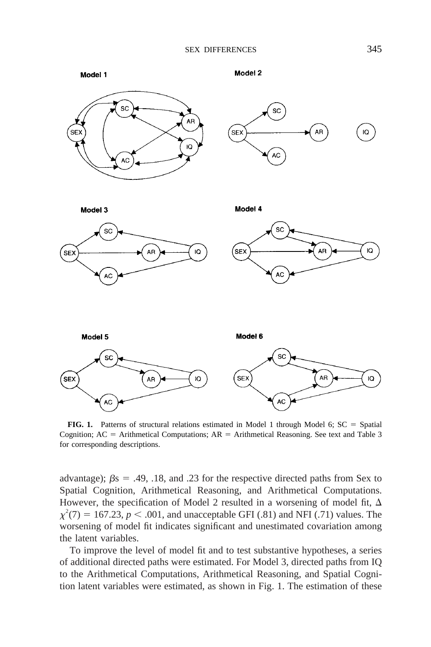#### Model 1

Model 2

Model 4







**AC** 

SEX







**FIG. 1.** Patterns of structural relations estimated in Model 1 through Model 6;  $SC = Spatial$ Cognition;  $AC =$  Arithmetical Computations;  $AR =$  Arithmetical Reasoning. See text and Table 3 for corresponding descriptions.

advantage);  $\beta$ s = .49, .18, and .23 for the respective directed paths from Sex to Spatial Cognition, Arithmetical Reasoning, and Arithmetical Computations. However, the specification of Model 2 resulted in a worsening of model fit,  $\Delta$  $\chi^2(7) = 167.23, p < .001$ , and unacceptable GFI (.81) and NFI (.71) values. The worsening of model fit indicates significant and unestimated covariation among the latent variables.

To improve the level of model fit and to test substantive hypotheses, a series of additional directed paths were estimated. For Model 3, directed paths from IQ to the Arithmetical Computations, Arithmetical Reasoning, and Spatial Cognition latent variables were estimated, as shown in Fig. 1. The estimation of these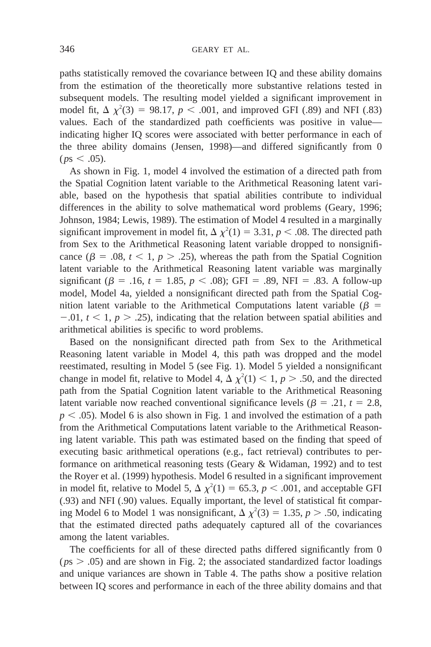paths statistically removed the covariance between IQ and these ability domains from the estimation of the theoretically more substantive relations tested in subsequent models. The resulting model yielded a significant improvement in model fit,  $\Delta \chi^2(3) = 98.17$ ,  $p < .001$ , and improved GFI (.89) and NFI (.83) values. Each of the standardized path coefficients was positive in value indicating higher IQ scores were associated with better performance in each of the three ability domains (Jensen, 1998)—and differed significantly from 0  $(ps < .05).$ 

As shown in Fig. 1, model 4 involved the estimation of a directed path from the Spatial Cognition latent variable to the Arithmetical Reasoning latent variable, based on the hypothesis that spatial abilities contribute to individual differences in the ability to solve mathematical word problems (Geary, 1996; Johnson, 1984; Lewis, 1989). The estimation of Model 4 resulted in a marginally significant improvement in model fit,  $\Delta \chi^2(1) = 3.31, p < .08$ . The directed path from Sex to the Arithmetical Reasoning latent variable dropped to nonsignificance  $(\beta = .08, t < 1, p > .25)$ , whereas the path from the Spatial Cognition latent variable to the Arithmetical Reasoning latent variable was marginally significant ( $\beta$  = .16, *t* = 1.85, *p* < .08); GFI = .89, NFI = .83. A follow-up model, Model 4a, yielded a nonsignificant directed path from the Spatial Cognition latent variable to the Arithmetical Computations latent variable ( $\beta$  =  $-0.01, t \le 1, p > 0.25$ , indicating that the relation between spatial abilities and arithmetical abilities is specific to word problems.

Based on the nonsignificant directed path from Sex to the Arithmetical Reasoning latent variable in Model 4, this path was dropped and the model reestimated, resulting in Model 5 (see Fig. 1). Model 5 yielded a nonsignificant change in model fit, relative to Model 4,  $\Delta \chi^2(1)$  < 1,  $p > .50$ , and the directed path from the Spatial Cognition latent variable to the Arithmetical Reasoning latent variable now reached conventional significance levels ( $\beta = .21$ ,  $t = 2.8$ ,  $p < .05$ ). Model 6 is also shown in Fig. 1 and involved the estimation of a path from the Arithmetical Computations latent variable to the Arithmetical Reasoning latent variable. This path was estimated based on the finding that speed of executing basic arithmetical operations (e.g., fact retrieval) contributes to performance on arithmetical reasoning tests (Geary & Widaman, 1992) and to test the Royer et al. (1999) hypothesis. Model 6 resulted in a significant improvement in model fit, relative to Model 5,  $\Delta \chi^2(1) = 65.3$ ,  $p < .001$ , and acceptable GFI (.93) and NFI (.90) values. Equally important, the level of statistical fit comparing Model 6 to Model 1 was nonsignificant,  $\Delta \chi^2(3) = 1.35$ ,  $p > .50$ , indicating that the estimated directed paths adequately captured all of the covariances among the latent variables.

The coefficients for all of these directed paths differed significantly from 0  $(ps > .05)$  and are shown in Fig. 2; the associated standardized factor loadings and unique variances are shown in Table 4. The paths show a positive relation between IQ scores and performance in each of the three ability domains and that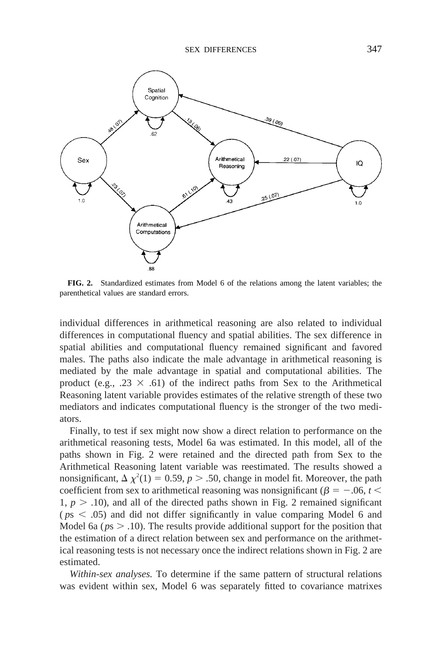

**FIG. 2.** Standardized estimates from Model 6 of the relations among the latent variables; the parenthetical values are standard errors.

individual differences in arithmetical reasoning are also related to individual differences in computational fluency and spatial abilities. The sex difference in spatial abilities and computational fluency remained significant and favored males. The paths also indicate the male advantage in arithmetical reasoning is mediated by the male advantage in spatial and computational abilities. The product (e.g., .23  $\times$  .61) of the indirect paths from Sex to the Arithmetical Reasoning latent variable provides estimates of the relative strength of these two mediators and indicates computational fluency is the stronger of the two mediators.

Finally, to test if sex might now show a direct relation to performance on the arithmetical reasoning tests, Model 6a was estimated. In this model, all of the paths shown in Fig. 2 were retained and the directed path from Sex to the Arithmetical Reasoning latent variable was reestimated. The results showed a nonsignificant,  $\Delta \chi^2(1) = 0.59, p > .50$ , change in model fit. Moreover, the path coefficient from sex to arithmetical reasoning was nonsignificant ( $\beta = -0.06$ ,  $t <$  $1, p > .10$ ), and all of the directed paths shown in Fig. 2 remained significant  $(ps < .05)$  and did not differ significantly in value comparing Model 6 and Model 6a ( $ps > .10$ ). The results provide additional support for the position that the estimation of a direct relation between sex and performance on the arithmetical reasoning tests is not necessary once the indirect relations shown in Fig. 2 are estimated.

*Within-sex analyses.* To determine if the same pattern of structural relations was evident within sex, Model 6 was separately fitted to covariance matrixes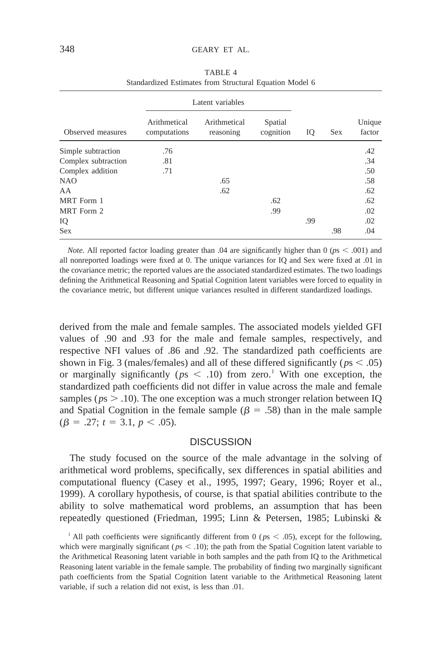|                     |                              | Latent variables          |                      |     |            |                  |
|---------------------|------------------------------|---------------------------|----------------------|-----|------------|------------------|
| Observed measures   | Arithmetical<br>computations | Arithmetical<br>reasoning | Spatial<br>cognition | IQ  | <b>Sex</b> | Unique<br>factor |
| Simple subtraction  | .76                          |                           |                      |     |            | .42              |
| Complex subtraction | .81                          |                           |                      |     |            | .34              |
| Complex addition    | .71                          |                           |                      |     |            | .50              |
| <b>NAO</b>          |                              | .65                       |                      |     |            | .58              |
| AA                  |                              | .62                       |                      |     |            | .62              |
| MRT Form 1          |                              |                           | .62                  |     |            | .62              |
| MRT Form 2          |                              |                           | .99                  |     |            | .02              |
| IQ                  |                              |                           |                      | .99 |            | .02              |
| Sex                 |                              |                           |                      |     | .98        | .04              |

TABLE 4 Standardized Estimates from Structural Equation Model 6

*Note.* All reported factor loading greater than  $.04$  are significantly higher than 0 ( $p_s < .001$ ) and all nonreported loadings were fixed at 0. The unique variances for IQ and Sex were fixed at .01 in the covariance metric; the reported values are the associated standardized estimates. The two loadings defining the Arithmetical Reasoning and Spatial Cognition latent variables were forced to equality in the covariance metric, but different unique variances resulted in different standardized loadings.

derived from the male and female samples. The associated models yielded GFI values of .90 and .93 for the male and female samples, respectively, and respective NFI values of .86 and .92. The standardized path coefficients are shown in Fig. 3 (males/females) and all of these differed significantly ( $p_s < .05$ ) or marginally significantly ( $ps < .10$ ) from zero.<sup>1</sup> With one exception, the standardized path coefficients did not differ in value across the male and female samples ( $ps > .10$ ). The one exception was a much stronger relation between IQ and Spatial Cognition in the female sample ( $\beta$  = .58) than in the male sample  $(\beta = .27; t = 3.1, p < .05).$ 

# **DISCUSSION**

The study focused on the source of the male advantage in the solving of arithmetical word problems, specifically, sex differences in spatial abilities and computational fluency (Casey et al., 1995, 1997; Geary, 1996; Royer et al., 1999). A corollary hypothesis, of course, is that spatial abilities contribute to the ability to solve mathematical word problems, an assumption that has been repeatedly questioned (Friedman, 1995; Linn & Petersen, 1985; Lubinski &

<sup>&</sup>lt;sup>1</sup> All path coefficients were significantly different from 0 ( $p_s < .05$ ), except for the following, which were marginally significant ( $p< .10$ ); the path from the Spatial Cognition latent variable to the Arithmetical Reasoning latent variable in both samples and the path from IQ to the Arithmetical Reasoning latent variable in the female sample. The probability of finding two marginally significant path coefficients from the Spatial Cognition latent variable to the Arithmetical Reasoning latent variable, if such a relation did not exist, is less than .01.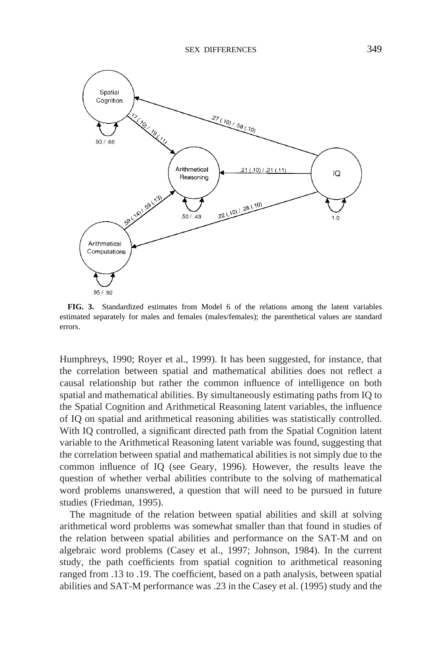

**FIG. 3.** Standardized estimates from Model 6 of the relations among the latent variables estimated separately for males and females (males/females); the parenthetical values are standard errors.

Humphreys, 1990; Royer et al., 1999). It has been suggested, for instance, that the correlation between spatial and mathematical abilities does not reflect a causal relationship but rather the common influence of intelligence on both spatial and mathematical abilities. By simultaneously estimating paths from IQ to the Spatial Cognition and Arithmetical Reasoning latent variables, the influence of IQ on spatial and arithmetical reasoning abilities was statistically controlled. With IQ controlled, a significant directed path from the Spatial Cognition latent variable to the Arithmetical Reasoning latent variable was found, suggesting that the correlation between spatial and mathematical abilities is not simply due to the common influence of IQ (see Geary, 1996). However, the results leave the question of whether verbal abilities contribute to the solving of mathematical word problems unanswered, a question that will need to be pursued in future studies (Friedman, 1995).

The magnitude of the relation between spatial abilities and skill at solving arithmetical word problems was somewhat smaller than that found in studies of the relation between spatial abilities and performance on the SAT-M and on algebraic word problems (Casey et al., 1997; Johnson, 1984). In the current study, the path coefficients from spatial cognition to arithmetical reasoning ranged from .13 to .19. The coefficient, based on a path analysis, between spatial abilities and SAT-M performance was .23 in the Casey et al. (1995) study and the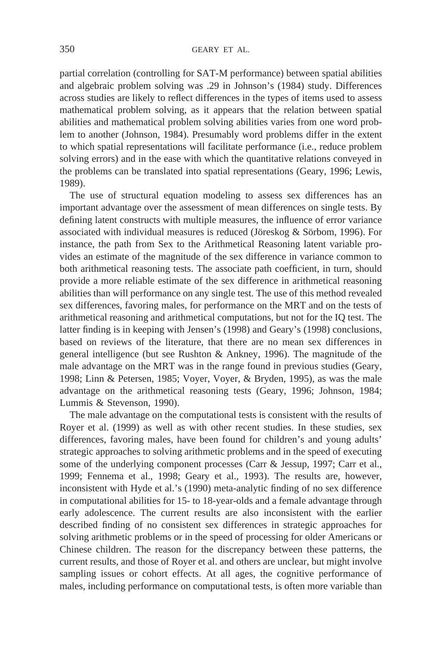partial correlation (controlling for SAT-M performance) between spatial abilities and algebraic problem solving was .29 in Johnson's (1984) study. Differences across studies are likely to reflect differences in the types of items used to assess mathematical problem solving, as it appears that the relation between spatial abilities and mathematical problem solving abilities varies from one word problem to another (Johnson, 1984). Presumably word problems differ in the extent to which spatial representations will facilitate performance (i.e., reduce problem solving errors) and in the ease with which the quantitative relations conveyed in the problems can be translated into spatial representations (Geary, 1996; Lewis, 1989).

The use of structural equation modeling to assess sex differences has an important advantage over the assessment of mean differences on single tests. By defining latent constructs with multiple measures, the influence of error variance associated with individual measures is reduced (Jöreskog  $&$  Sörbom, 1996). For instance, the path from Sex to the Arithmetical Reasoning latent variable provides an estimate of the magnitude of the sex difference in variance common to both arithmetical reasoning tests. The associate path coefficient, in turn, should provide a more reliable estimate of the sex difference in arithmetical reasoning abilities than will performance on any single test. The use of this method revealed sex differences, favoring males, for performance on the MRT and on the tests of arithmetical reasoning and arithmetical computations, but not for the IQ test. The latter finding is in keeping with Jensen's (1998) and Geary's (1998) conclusions, based on reviews of the literature, that there are no mean sex differences in general intelligence (but see Rushton & Ankney, 1996). The magnitude of the male advantage on the MRT was in the range found in previous studies (Geary, 1998; Linn & Petersen, 1985; Voyer, Voyer, & Bryden, 1995), as was the male advantage on the arithmetical reasoning tests (Geary, 1996; Johnson, 1984; Lummis & Stevenson, 1990).

The male advantage on the computational tests is consistent with the results of Royer et al. (1999) as well as with other recent studies. In these studies, sex differences, favoring males, have been found for children's and young adults' strategic approaches to solving arithmetic problems and in the speed of executing some of the underlying component processes (Carr & Jessup, 1997; Carr et al., 1999; Fennema et al., 1998; Geary et al., 1993). The results are, however, inconsistent with Hyde et al.'s (1990) meta-analytic finding of no sex difference in computational abilities for 15- to 18-year-olds and a female advantage through early adolescence. The current results are also inconsistent with the earlier described finding of no consistent sex differences in strategic approaches for solving arithmetic problems or in the speed of processing for older Americans or Chinese children. The reason for the discrepancy between these patterns, the current results, and those of Royer et al. and others are unclear, but might involve sampling issues or cohort effects. At all ages, the cognitive performance of males, including performance on computational tests, is often more variable than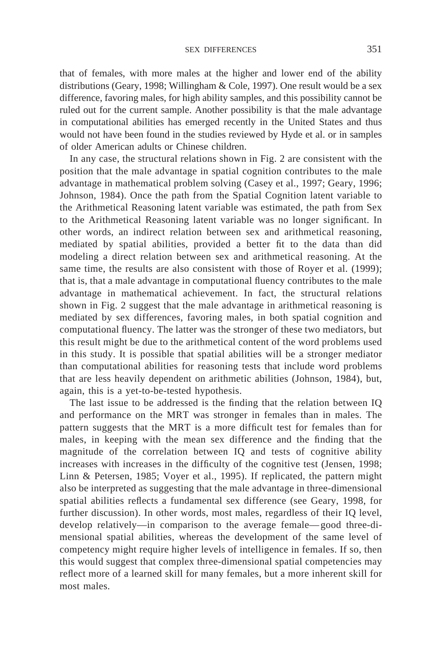that of females, with more males at the higher and lower end of the ability distributions (Geary, 1998; Willingham & Cole, 1997). One result would be a sex difference, favoring males, for high ability samples, and this possibility cannot be ruled out for the current sample. Another possibility is that the male advantage in computational abilities has emerged recently in the United States and thus would not have been found in the studies reviewed by Hyde et al. or in samples of older American adults or Chinese children.

In any case, the structural relations shown in Fig. 2 are consistent with the position that the male advantage in spatial cognition contributes to the male advantage in mathematical problem solving (Casey et al., 1997; Geary, 1996; Johnson, 1984). Once the path from the Spatial Cognition latent variable to the Arithmetical Reasoning latent variable was estimated, the path from Sex to the Arithmetical Reasoning latent variable was no longer significant. In other words, an indirect relation between sex and arithmetical reasoning, mediated by spatial abilities, provided a better fit to the data than did modeling a direct relation between sex and arithmetical reasoning. At the same time, the results are also consistent with those of Royer et al. (1999); that is, that a male advantage in computational fluency contributes to the male advantage in mathematical achievement. In fact, the structural relations shown in Fig. 2 suggest that the male advantage in arithmetical reasoning is mediated by sex differences, favoring males, in both spatial cognition and computational fluency. The latter was the stronger of these two mediators, but this result might be due to the arithmetical content of the word problems used in this study. It is possible that spatial abilities will be a stronger mediator than computational abilities for reasoning tests that include word problems that are less heavily dependent on arithmetic abilities (Johnson, 1984), but, again, this is a yet-to-be-tested hypothesis.

The last issue to be addressed is the finding that the relation between IQ and performance on the MRT was stronger in females than in males. The pattern suggests that the MRT is a more difficult test for females than for males, in keeping with the mean sex difference and the finding that the magnitude of the correlation between IQ and tests of cognitive ability increases with increases in the difficulty of the cognitive test (Jensen, 1998; Linn & Petersen, 1985; Voyer et al., 1995). If replicated, the pattern might also be interpreted as suggesting that the male advantage in three-dimensional spatial abilities reflects a fundamental sex difference (see Geary, 1998, for further discussion). In other words, most males, regardless of their IQ level, develop relatively—in comparison to the average female—good three-dimensional spatial abilities, whereas the development of the same level of competency might require higher levels of intelligence in females. If so, then this would suggest that complex three-dimensional spatial competencies may reflect more of a learned skill for many females, but a more inherent skill for most males.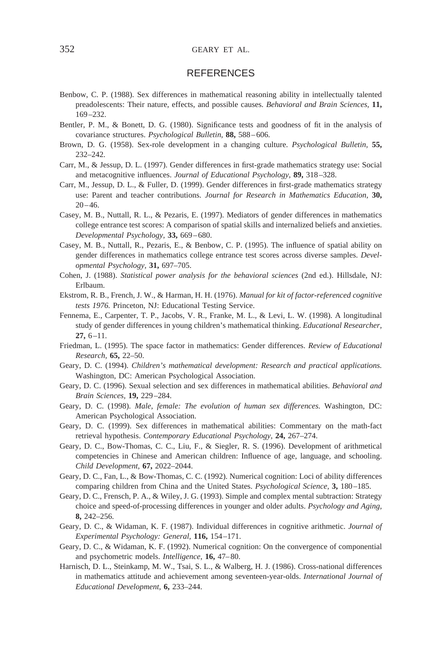#### **REFERENCES**

- Benbow, C. P. (1988). Sex differences in mathematical reasoning ability in intellectually talented preadolescents: Their nature, effects, and possible causes. *Behavioral and Brain Sciences,* **11,** 169–232.
- Bentler, P. M., & Bonett, D. G. (1980). Significance tests and goodness of fit in the analysis of covariance structures. *Psychological Bulletin,* **88,** 588–606.
- Brown, D. G. (1958). Sex-role development in a changing culture. *Psychological Bulletin,* **55,** 232–242.
- Carr, M., & Jessup, D. L. (1997). Gender differences in first-grade mathematics strategy use: Social and metacognitive influences. *Journal of Educational Psychology,* **89,** 318–328.
- Carr, M., Jessup, D. L., & Fuller, D. (1999). Gender differences in first-grade mathematics strategy use: Parent and teacher contributions. *Journal for Research in Mathematics Education,* **30,**  $20 - 46.$
- Casey, M. B., Nuttall, R. L., & Pezaris, E. (1997). Mediators of gender differences in mathematics college entrance test scores: A comparison of spatial skills and internalized beliefs and anxieties. *Developmental Psychology,* **33,** 669–680.
- Casey, M. B., Nuttall, R., Pezaris, E., & Benbow, C. P. (1995). The influence of spatial ability on gender differences in mathematics college entrance test scores across diverse samples. *Developmental Psychology,* **31,** 697–705.
- Cohen, J. (1988). *Statistical power analysis for the behavioral sciences* (2nd ed.). Hillsdale, NJ: Erlbaum.
- Ekstrom, R. B., French, J. W., & Harman, H. H. (1976). *Manual for kit of factor-referenced cognitive tests 1976.* Princeton, NJ: Educational Testing Service.
- Fennema, E., Carpenter, T. P., Jacobs, V. R., Franke, M. L., & Levi, L. W. (1998). A longitudinal study of gender differences in young children's mathematical thinking. *Educational Researcher,* **27,** 6–11.
- Friedman, L. (1995). The space factor in mathematics: Gender differences. *Review of Educational Research,* **65,** 22–50.
- Geary, D. C. (1994). *Children's mathematical development: Research and practical applications.* Washington, DC: American Psychological Association.
- Geary, D. C. (1996). Sexual selection and sex differences in mathematical abilities. *Behavioral and Brain Sciences,* **19,** 229–284.
- Geary, D. C. (1998). *Male, female: The evolution of human sex differences.* Washington, DC: American Psychological Association.
- Geary, D. C. (1999). Sex differences in mathematical abilities: Commentary on the math-fact retrieval hypothesis. *Contemporary Educational Psychology,* **24,** 267–274.
- Geary, D. C., Bow-Thomas, C. C., Liu, F., & Siegler, R. S. (1996). Development of arithmetical competencies in Chinese and American children: Influence of age, language, and schooling. *Child Development,* **67,** 2022–2044.
- Geary, D. C., Fan, L., & Bow-Thomas, C. C. (1992). Numerical cognition: Loci of ability differences comparing children from China and the United States. *Psychological Science,* **3,** 180–185.
- Geary, D. C., Frensch, P. A., & Wiley, J. G. (1993). Simple and complex mental subtraction: Strategy choice and speed-of-processing differences in younger and older adults. *Psychology and Aging,* **8,** 242–256.
- Geary, D. C., & Widaman, K. F. (1987). Individual differences in cognitive arithmetic. *Journal of Experimental Psychology: General,* **116,** 154–171.
- Geary, D. C., & Widaman, K. F. (1992). Numerical cognition: On the convergence of componential and psychometric models. *Intelligence,* **16,** 47–80.
- Harnisch, D. L., Steinkamp, M. W., Tsai, S. L., & Walberg, H. J. (1986). Cross-national differences in mathematics attitude and achievement among seventeen-year-olds. *International Journal of Educational Development,* **6,** 233–244.